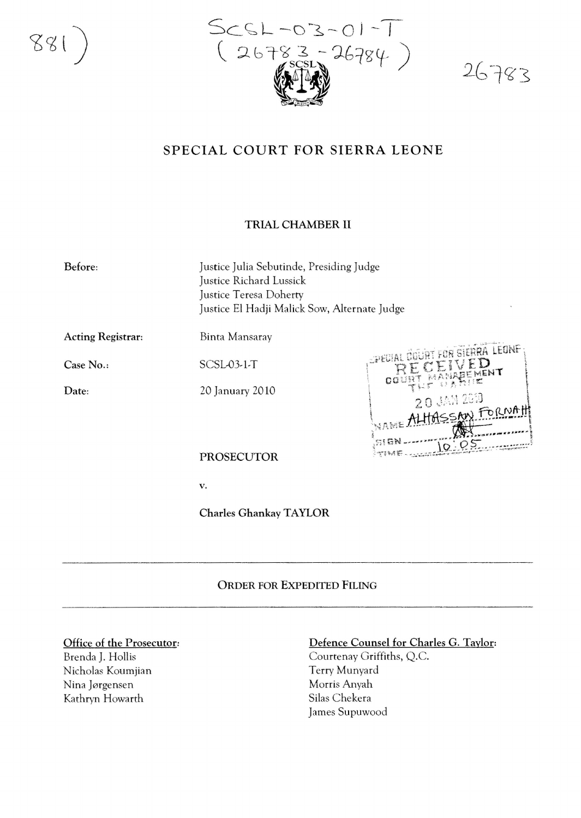881



26783

# SPECIAL COURT FOR SIERRA LEONE

## TRIAL CHAMBER II

Before:

Justice Julia Sebutinde, Presiding Judge Justice Richard Lussick Justice Teresa Doherty Justice El Hadji Malick Sow, Alternate Judge

Acting Registrar:

Binta Mansaray

Case No..

Date:

SCSL-03-1-T

20 january 20 10



PROSECUTOR

v.

Charles Ghankay TAYLOR

### ORDER FOR EXPEDITED FILING

#### Office of the Prosecutor:

Brenda j. Hollis Nicholas Koumjian Nina Jørgensen Kathryn Howarth

### Defence Counsel for Charles G. Taylor:

Courtenay Griffiths, Q.C. Terry Munyard Morris Anyah Silas Chekera james Supuwood